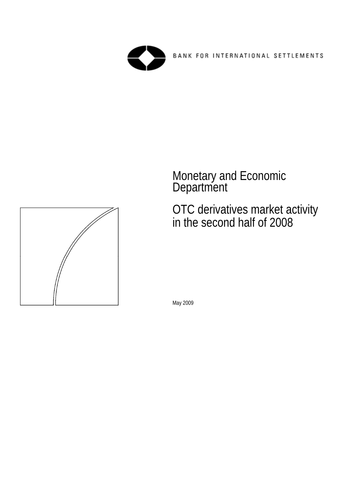

BANK FOR INTERNATIONAL SETTLEMENTS

# Monetary and Economic **Department**

OTC derivatives market activity in the second half of 2008



May 2009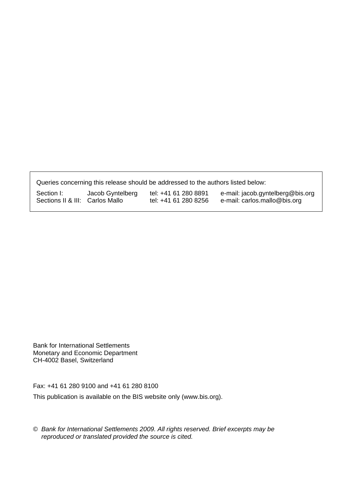Queries concerning this release should be addressed to the authors listed below:

| Section I:                      | Jacob Gyntelberg | tel: +41 61 280 8891 | e-mail: jacob.gyntelberg@bis.org |
|---------------------------------|------------------|----------------------|----------------------------------|
| Sections II & III: Carlos Mallo |                  | tel: +41 61 280 8256 | e-mail: carlos.mallo@bis.org     |

Bank for International Settlements Monetary and Economic Department CH-4002 Basel, Switzerland

Fax: +41 61 280 9100 and +41 61 280 8100

This publication is available on the BIS website only [\(www.bis.org](http://www.bis.org/)).

© *Bank for International Settlements 2009. All rights reserved. Brief excerpts may be reproduced or translated provided the source is cited.*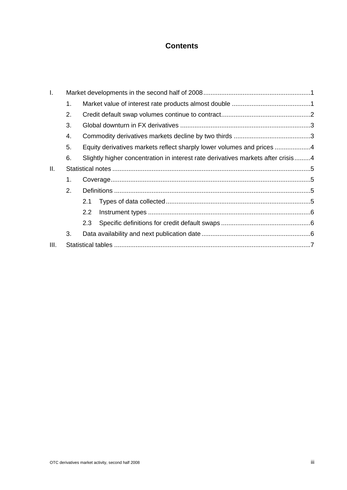# **Contents**

| L.   |    |               |                                                                                  |  |
|------|----|---------------|----------------------------------------------------------------------------------|--|
|      | 1. |               |                                                                                  |  |
|      | 2. |               |                                                                                  |  |
|      | 3. |               |                                                                                  |  |
|      | 4. |               |                                                                                  |  |
|      | 5. |               | Equity derivatives markets reflect sharply lower volumes and prices 4            |  |
|      | 6. |               | Slightly higher concentration in interest rate derivatives markets after crisis4 |  |
| Ш.   |    |               |                                                                                  |  |
|      | 1. |               |                                                                                  |  |
|      | 2. |               |                                                                                  |  |
|      |    | 2.1           |                                                                                  |  |
|      |    | $2.2^{\circ}$ |                                                                                  |  |
|      |    | 2.3           |                                                                                  |  |
|      | 3. |               |                                                                                  |  |
| III. |    |               |                                                                                  |  |
|      |    |               |                                                                                  |  |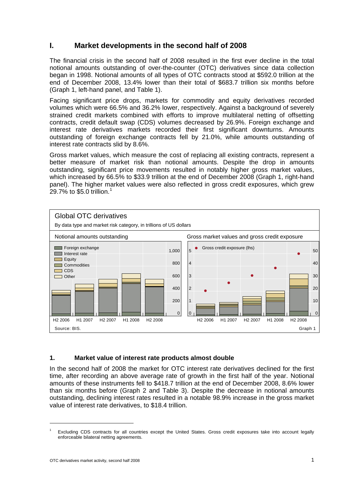# <span id="page-4-0"></span>**I. Market developments in the second half of 2008**

The financial crisis in the second half of 2008 resulted in the first ever decline in the total notional amounts outstanding of over-the-counter (OTC) derivatives since data collection began in 1998. Notional amounts of all types of OTC contracts stood at \$592.0 trillion at the end of December 2008, 13.4% lower than their total of \$683.7 trillion six months before (Graph 1, left-hand panel, and Table 1).

Facing significant price drops, markets for commodity and equity derivatives recorded volumes which were 66.5% and 36.2% lower, respectively. Against a background of severely strained credit markets combined with efforts to improve multilateral netting of offsetting contracts, credit default swap (CDS) volumes decreased by 26.9%. Foreign exchange and interest rate derivatives markets recorded their first significant downturns. Amounts outstanding of foreign exchange contracts fell by 21.0%, while amounts outstanding of interest rate contracts slid by 8.6%.

Gross market values, which measure the cost of replacing all existing contracts, represent a better measure of market risk than notional amounts. Despite the drop in amounts outstanding, significant price movements resulted in notably higher gross market values, which increased by 66.5% to \$33.9 trillion at the end of December 2008 (Graph 1, right-hand panel). The higher market values were also reflected in gross credit exposures, which grew 29.7% to \$5.0 trillion.<sup>[1](#page-4-1)</sup>



#### **1. Market value of interest rate products almost double**

In the second half of 2008 the market for OTC interest rate derivatives declined for the first time, after recording an above average rate of growth in the first half of the year. Notional amounts of these instruments fell to \$418.7 trillion at the end of December 2008, 8.6% lower than six months before (Graph 2 and Table 3). Despite the decrease in notional amounts outstanding, declining interest rates resulted in a notable 98.9% increase in the gross market value of interest rate derivatives, to \$18.4 trillion.

l

<span id="page-4-1"></span><sup>1</sup> Excluding CDS contracts for all countries except the United States. Gross credit exposures take into account legally enforceable bilateral netting agreements.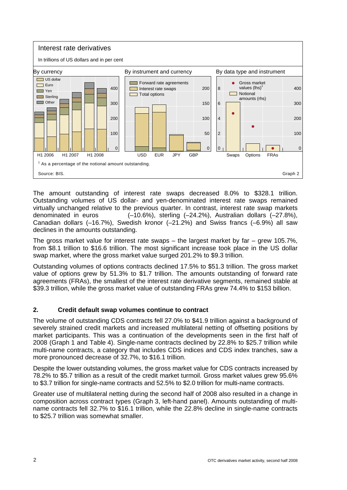<span id="page-5-0"></span>

The amount outstanding of interest rate swaps decreased 8.0% to \$328.1 trillion. Outstanding volumes of US dollar- and yen-denominated interest rate swaps remained virtually unchanged relative to the previous quarter. In contrast, interest rate swap markets denominated in euros (–10.6%), sterling (–24.2%), Australian dollars (–27.8%), Canadian dollars  $(-16.7%)$ , Swedish kronor  $(-21.2%)$  and Swiss francs  $(-6.9%)$  all saw declines in the amounts outstanding.

The gross market value for interest rate swaps  $-$  the largest market by far  $-$  grew 105.7%, from \$8.1 trillion to \$16.6 trillion. The most significant increase took place in the US dollar swap market, where the gross market value surged 201.2% to \$9.3 trillion.

Outstanding volumes of options contracts declined 17.5% to \$51.3 trillion. The gross market value of options grew by 51.3% to \$1.7 trillion. The amounts outstanding of forward rate agreements (FRAs), the smallest of the interest rate derivative segments, remained stable at \$39.3 trillion, while the gross market value of outstanding FRAs grew 74.4% to \$153 billion.

### **2. Credit default swap volumes continue to contract**

The volume of outstanding CDS contracts fell 27.0% to \$41.9 trillion against a background of severely strained credit markets and increased multilateral netting of offsetting positions by market participants. This was a continuation of the developments seen in the first half of 2008 (Graph 1 and Table 4). Single-name contracts declined by 22.8% to \$25.7 trillion while multi-name contracts, a category that includes CDS indices and CDS index tranches, saw a more pronounced decrease of 32.7%, to \$16.1 trillion.

Despite the lower outstanding volumes, the gross market value for CDS contracts increased by 78.2% to \$5.7 trillion as a result of the credit market turmoil. Gross market values grew 95.6% to \$3.7 trillion for single-name contracts and 52.5% to \$2.0 trillion for multi-name contracts.

Greater use of multilateral netting during the second half of 2008 also resulted in a change in composition across contract types (Graph 3, left-hand panel). Amounts outstanding of multiname contracts fell 32.7% to \$16.1 trillion, while the 22.8% decline in single-name contracts to \$25.7 trillion was somewhat smaller.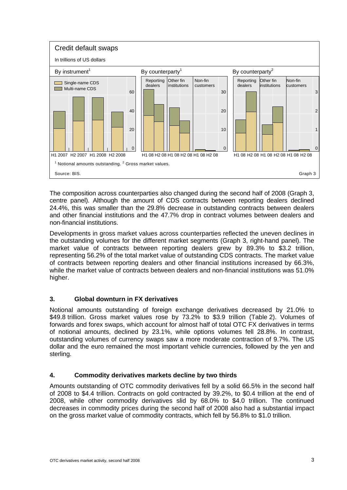<span id="page-6-0"></span>

The composition across counterparties also changed during the second half of 2008 (Graph 3, centre panel). Although the amount of CDS contracts between reporting dealers declined 24.4%, this was smaller than the 29.8% decrease in outstanding contracts between dealers and other financial institutions and the 47.7% drop in contract volumes between dealers and non-financial institutions.

Developments in gross market values across counterparties reflected the uneven declines in the outstanding volumes for the different market segments (Graph 3, right-hand panel). The market value of contracts between reporting dealers grew by 89.3% to \$3.2 trillion, representing 56.2% of the total market value of outstanding CDS contracts. The market value of contracts between reporting dealers and other financial institutions increased by 66.3%, while the market value of contracts between dealers and non-financial institutions was 51.0% higher.

### **3. Global downturn in FX derivatives**

Notional amounts outstanding of foreign exchange derivatives decreased by 21.0% to \$49.8 trillion. Gross market values rose by 73.2% to \$3.9 trillion (Table 2). Volumes of forwards and forex swaps, which account for almost half of total OTC FX derivatives in terms of notional amounts, declined by 23.1%, while options volumes fell 28.8%. In contrast, outstanding volumes of currency swaps saw a more moderate contraction of 9.7%. The US dollar and the euro remained the most important vehicle currencies, followed by the yen and sterling.

### **4. Commodity derivatives markets decline by two thirds**

Amounts outstanding of OTC commodity derivatives fell by a solid 66.5% in the second half of 2008 to \$4.4 trillion. Contracts on gold contracted by 39.2%, to \$0.4 trillion at the end of 2008, while other commodity derivatives slid by 68.0% to \$4.0 trillion. The continued decreases in commodity prices during the second half of 2008 also had a substantial impact on the gross market value of commodity contracts, which fell by 56.8% to \$1.0 trillion.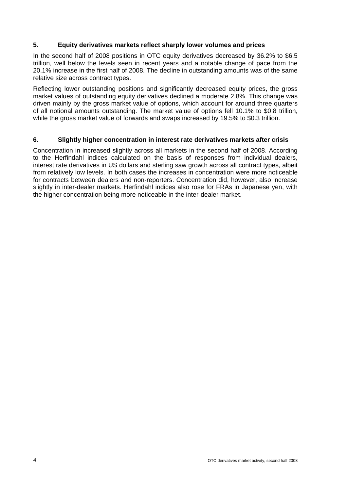#### <span id="page-7-0"></span>**5. Equity derivatives markets reflect sharply lower volumes and prices**

In the second half of 2008 positions in OTC equity derivatives decreased by 36.2% to \$6.5 trillion, well below the levels seen in recent years and a notable change of pace from the 20.1% increase in the first half of 2008. The decline in outstanding amounts was of the same relative size across contract types.

Reflecting lower outstanding positions and significantly decreased equity prices, the gross market values of outstanding equity derivatives declined a moderate 2.8%. This change was driven mainly by the gross market value of options, which account for around three quarters of all notional amounts outstanding. The market value of options fell 10.1% to \$0.8 trillion, while the gross market value of forwards and swaps increased by 19.5% to \$0.3 trillion.

#### **6. Slightly higher concentration in interest rate derivatives markets after crisis**

Concentration in increased slightly across all markets in the second half of 2008. According to the Herfindahl indices calculated on the basis of responses from individual dealers, interest rate derivatives in US dollars and sterling saw growth across all contract types, albeit from relatively low levels. In both cases the increases in concentration were more noticeable for contracts between dealers and non-reporters. Concentration did, however, also increase slightly in inter-dealer markets. Herfindahl indices also rose for FRAs in Japanese yen, with the higher concentration being more noticeable in the inter-dealer market.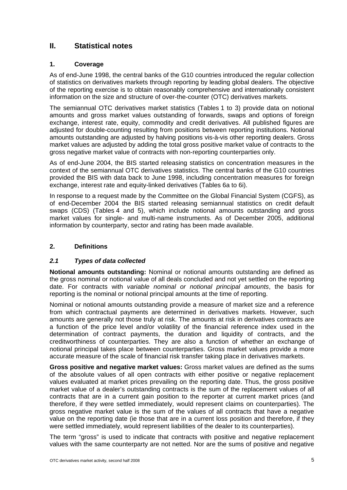# <span id="page-8-0"></span>**II. Statistical notes**

### **1. Coverage**

As of end-June 1998, the central banks of the G10 countries introduced the regular collection of statistics on derivatives markets through reporting by leading global dealers. The objective of the reporting exercise is to obtain reasonably comprehensive and internationally consistent information on the size and structure of over-the-counter (OTC) derivatives markets.

The semiannual OTC derivatives market statistics (Tables 1 to 3) provide data on notional amounts and gross market values outstanding of forwards, swaps and options of foreign exchange, interest rate, equity, commodity and credit derivatives. All published figures are adjusted for double-counting resulting from positions between reporting institutions. Notional amounts outstanding are adjusted by halving positions vis-à-vis other reporting dealers. Gross market values are adjusted by adding the total gross positive market value of contracts to the gross negative market value of contracts with non-reporting counterparties only.

As of end-June 2004, the BIS started releasing statistics on concentration measures in the context of the semiannual OTC derivatives statistics. The central banks of the G10 countries provided the BIS with data back to June 1998, including concentration measures for foreign exchange, interest rate and equity-linked derivatives (Tables 6a to 6i).

In response to a request made by the Committee on the Global Financial System (CGFS), as of end-December 2004 the BIS started releasing semiannual statistics on credit default swaps (CDS) (Tables 4 and 5), which include notional amounts outstanding and gross market values for single- and multi-name instruments. As of December 2005, additional information by counterparty, sector and rating has been made available.

### **2. Definitions**

### *2.1 Types of data collected*

**Notional amounts outstanding:** Nominal or notional amounts outstanding are defined as the gross nominal or notional value of all deals concluded and not yet settled on the reporting date. For contracts with *variable nominal or notional principal amounts*, the basis for reporting is the nominal or notional principal amounts at the time of reporting.

Nominal or notional amounts outstanding provide a measure of market size and a reference from which contractual payments are determined in derivatives markets. However, such amounts are generally not those truly at risk. The amounts at risk in derivatives contracts are a function of the price level and/or volatility of the financial reference index used in the determination of contract payments, the duration and liquidity of contracts, and the creditworthiness of counterparties. They are also a function of whether an exchange of notional principal takes place between counterparties. Gross market values provide a more accurate measure of the scale of financial risk transfer taking place in derivatives markets.

**Gross positive and negative market values:** Gross market values are defined as the sums of the absolute values of all open contracts with either positive or negative replacement values evaluated at market prices prevailing on the reporting date. Thus, the gross positive market value of a dealer's outstanding contracts is the sum of the replacement values of all contracts that are in a current gain position to the reporter at current market prices (and therefore, if they were settled immediately, would represent claims on counterparties). The gross negative market value is the sum of the values of all contracts that have a negative value on the reporting date (ie those that are in a current loss position and therefore, if they were settled immediately, would represent liabilities of the dealer to its counterparties).

The term "gross" is used to indicate that contracts with positive and negative replacement values with the same counterparty are not netted. Nor are the sums of positive and negative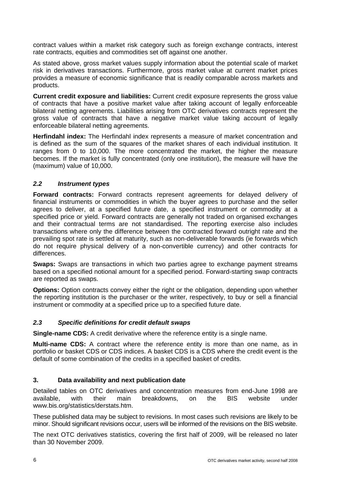<span id="page-9-0"></span>contract values within a market risk category such as foreign exchange contracts, interest rate contracts, equities and commodities set off against one another.

As stated above, gross market values supply information about the potential scale of market risk in derivatives transactions. Furthermore, gross market value at current market prices provides a measure of economic significance that is readily comparable across markets and products.

**Current credit exposure and liabilities:** Current credit exposure represents the gross value of contracts that have a positive market value after taking account of legally enforceable bilateral netting agreements. Liabilities arising from OTC derivatives contracts represent the gross value of contracts that have a negative market value taking account of legally enforceable bilateral netting agreements.

**Herfindahl index:** The Herfindahl index represents a measure of market concentration and is defined as the sum of the squares of the market shares of each individual institution. It ranges from 0 to 10,000. The more concentrated the market, the higher the measure becomes. If the market is fully concentrated (only one institution), the measure will have the (maximum) value of 10,000.

#### *2.2 Instrument types*

**Forward contracts:** Forward contracts represent agreements for delayed delivery of financial instruments or commodities in which the buyer agrees to purchase and the seller agrees to deliver, at a specified future date, a specified instrument or commodity at a specified price or yield. Forward contracts are generally not traded on organised exchanges and their contractual terms are not standardised. The reporting exercise also includes transactions where only the difference between the contracted forward outright rate and the prevailing spot rate is settled at maturity, such as non-deliverable forwards (ie forwards which do not require physical delivery of a non-convertible currency) and other contracts for differences.

**Swaps:** Swaps are transactions in which two parties agree to exchange payment streams based on a specified notional amount for a specified period. Forward-starting swap contracts are reported as swaps.

**Options:** Option contracts convey either the right or the obligation, depending upon whether the reporting institution is the purchaser or the writer, respectively, to buy or sell a financial instrument or commodity at a specified price up to a specified future date.

#### *2.3 Specific definitions for credit default swaps*

**Single-name CDS:** A credit derivative where the reference entity is a single name.

**Multi-name CDS:** A contract where the reference entity is more than one name, as in portfolio or basket CDS or CDS indices. A basket CDS is a CDS where the credit event is the default of some combination of the credits in a specified basket of credits.

### **3. Data availability and next publication date**

Detailed tables on OTC derivatives and concentration measures from end-June 1998 are available, with their main breakdowns, on the BIS website under www.bis.org/statistics/derstats.htm.

These published data may be subject to revisions. In most cases such revisions are likely to be minor. Should significant revisions occur, users will be informed of the revisions on the BIS website.

The next OTC derivatives statistics, covering the first half of 2009, will be released no later than 30 November 2009.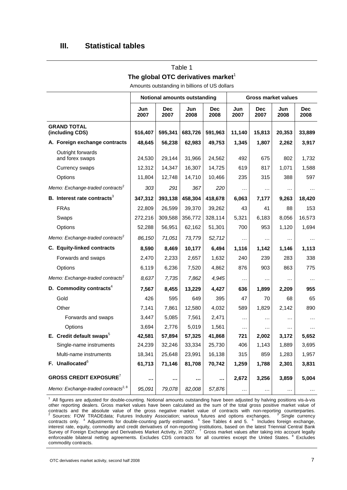# <span id="page-10-0"></span>**III. Statistical tables**

#### Table 1

#### The global OTC derivatives market<sup>1</sup>

Amounts outstanding in billions of US dollars

|                                                 |             | <b>Notional amounts outstanding</b> |             |                    |             |                    | <b>Gross market values</b> |                    |
|-------------------------------------------------|-------------|-------------------------------------|-------------|--------------------|-------------|--------------------|----------------------------|--------------------|
|                                                 | Jun<br>2007 | <b>Dec</b><br>2007                  | Jun<br>2008 | <b>Dec</b><br>2008 | Jun<br>2007 | <b>Dec</b><br>2007 | Jun<br>2008                | <b>Dec</b><br>2008 |
| <b>GRAND TOTAL</b><br>(including CDS)           | 516,407     | 595,341                             | 683,726     | 591,963            | 11,140      | 15,813             | 20,353                     | 33,889             |
| A. Foreign exchange contracts                   | 48,645      | 56,238                              | 62,983      | 49,753             | 1,345       | 1,807              | 2,262                      | 3,917              |
| Outright forwards<br>and forex swaps            | 24,530      | 29,144                              | 31,966      | 24,562             | 492         | 675                | 802                        | 1,732              |
| Currency swaps                                  | 12,312      | 14,347                              | 16,307      | 14,725             | 619         | 817                | 1,071                      | 1,588              |
| Options                                         | 11,804      | 12,748                              | 14,710      | 10,466             | 235         | 315                | 388                        | 597                |
| Memo: Exchange-traded contracts <sup>2</sup>    | 303         | 291                                 | 367         | 220                | $\cdots$    |                    | $\cdots$                   |                    |
| B. Interest rate contracts <sup>3</sup>         | 347,312     | 393,138                             | 458,304     | 418,678            | 6,063       | 7,177              | 9,263                      | 18,420             |
| <b>FRAs</b>                                     | 22,809      | 26,599                              | 39,370      | 39,262             | 43          | 41                 | 88                         | 153                |
| Swaps                                           | 272,216     | 309,588                             | 356,772     | 328,114            | 5,321       | 6,183              | 8,056                      | 16,573             |
| Options                                         | 52,288      | 56,951                              | 62,162      | 51,301             | 700         | 953                | 1,120                      | 1,694              |
| Memo: Exchange-traded contracts <sup>2</sup>    | 86,150      | 71,051                              | 73,779      | 52,712             | $\cdots$    |                    | $\cdots$                   | .                  |
| C. Equity-linked contracts                      | 8,590       | 8,469                               | 10,177      | 6,494              | 1,116       | 1,142              | 1,146                      | 1,113              |
| Forwards and swaps                              | 2,470       | 2,233                               | 2,657       | 1,632              | 240         | 239                | 283                        | 338                |
| Options                                         | 6,119       | 6,236                               | 7,520       | 4,862              | 876         | 903                | 863                        | 775                |
| Memo: Exchange-traded contracts <sup>2</sup>    | 8,637       | 7,735                               | 7,862       | 4,945              | $\cdots$    |                    | $\ddotsc$                  | .                  |
| D. Commodity contracts <sup>4</sup>             | 7,567       | 8,455                               | 13,229      | 4,427              | 636         | 1,899              | 2,209                      | 955                |
| Gold                                            | 426         | 595                                 | 649         | 395                | 47          | 70                 | 68                         | 65                 |
| Other                                           | 7,141       | 7,861                               | 12,580      | 4,032              | 589         | 1,829              | 2,142                      | 890                |
| Forwards and swaps                              | 3,447       | 5,085                               | 7,561       | 2,471              | .           | .                  | $\cdots$                   | $\cdots$           |
| Options                                         | 3,694       | 2,776                               | 5,019       | 1,561              | $\cdots$    |                    | $\cdots$                   | $\cdots$           |
| E. Credit default swaps <sup>5</sup>            | 42,581      | 57,894                              | 57,325      | 41,868             | 721         | 2,002              | 3,172                      | 5.652              |
| Single-name instruments                         | 24,239      | 32,246                              | 33,334      | 25,730             | 406         | 1,143              | 1,889                      | 3,695              |
| Multi-name instruments                          | 18,341      | 25,648                              | 23,991      | 16,138             | 315         | 859                | 1,283                      | 1,957              |
| F. Unallocated <sup>6</sup>                     | 61,713      | 71,146                              | 81,708      | 70,742             | 1,259       | 1,788              | 2,301                      | 3,831              |
| <b>GROSS CREDIT EXPOSURE</b>                    | $\cdots$    |                                     | $\cdots$    |                    | 2,672       | 3,256              | 3,859                      | 5,004              |
| Memo: Exchange-traded contracts <sup>2, 8</sup> | 95,091      | 79,078                              | 82,008      | 57,876             | $\cdots$    | .                  | $\cdots$                   |                    |

1 All figures are adjusted for double-counting. Notional amounts outstanding have been adjusted by halving positions vis-à-vis other reporting dealers. Gross market values have been calculated as the sum of the total gross positive market value of contracts and the absolute value of the gross negative market value of contracts with non-reporting counterparties.<br><sup>2</sup> Sources: FOW TRADEdata; Futures Industry Association; various futures and options exchanges. <sup>3</sup> Singl interest rate, equity, commodity and credit derivatives of non-reporting institutions, based on the latest Triennial Central Bank<br>Survey of Foreign Exchange and Derivatives Market Activity, in 2007. <sup>7</sup> Gross market values commodity contracts.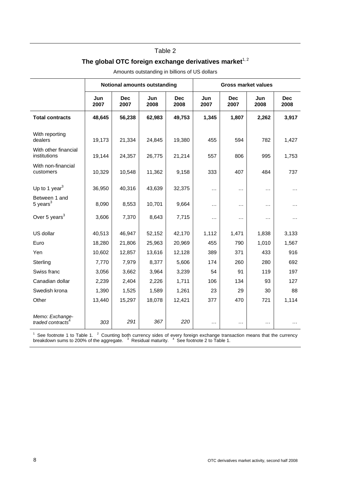#### Table 2

# The global OTC foreign exchange derivatives market<sup>1,2</sup>

|                                                  |             |                    | <b>Notional amounts outstanding</b> |                    |             | <b>Gross market values</b> |             |                    |
|--------------------------------------------------|-------------|--------------------|-------------------------------------|--------------------|-------------|----------------------------|-------------|--------------------|
|                                                  | Jun<br>2007 | <b>Dec</b><br>2007 | Jun<br>2008                         | <b>Dec</b><br>2008 | Jun<br>2007 | <b>Dec</b><br>2007         | Jun<br>2008 | <b>Dec</b><br>2008 |
| <b>Total contracts</b>                           | 48,645      | 56,238             | 62,983                              | 49,753             | 1,345       | 1,807                      | 2,262       | 3,917              |
| With reporting<br>dealers                        | 19,173      | 21,334             | 24,845                              | 19,380             | 455         | 594                        | 782         | 1,427              |
| With other financial<br>institutions             | 19,144      | 24,357             | 26,775                              | 21,214             | 557         | 806                        | 995         | 1,753              |
| With non-financial<br>customers                  | 10,329      | 10,548             | 11,362                              | 9,158              | 333         | 407                        | 484         | 737                |
| Up to 1 year <sup>3</sup>                        | 36,950      | 40,316             | 43,639                              | 32,375             | $\cdots$    | $\cdots$                   | $\cdots$    |                    |
| Between 1 and<br>5 years $3$                     | 8,090       | 8,553              | 10,701                              | 9,664              | $\cdots$    | $\cdots$                   | $\cdots$    |                    |
| Over 5 years <sup>3</sup>                        | 3,606       | 7,370              | 8,643                               | 7,715              | $\cdots$    | $\cdots$                   | $\cdots$    | .                  |
| US dollar                                        | 40,513      | 46,947             | 52,152                              | 42,170             | 1,112       | 1,471                      | 1,838       | 3,133              |
| Euro                                             | 18,280      | 21,806             | 25,963                              | 20,969             | 455         | 790                        | 1,010       | 1,567              |
| Yen                                              | 10,602      | 12,857             | 13,616                              | 12,128             | 389         | 371                        | 433         | 916                |
| Sterling                                         | 7,770       | 7,979              | 8,377                               | 5,606              | 174         | 260                        | 280         | 692                |
| Swiss franc                                      | 3,056       | 3,662              | 3,964                               | 3,239              | 54          | 91                         | 119         | 197                |
| Canadian dollar                                  | 2,239       | 2,404              | 2,226                               | 1,711              | 106         | 134                        | 93          | 127                |
| Swedish krona                                    | 1,390       | 1,525              | 1,589                               | 1,261              | 23          | 29                         | 30          | 88                 |
| Other                                            | 13,440      | 15,297             | 18,078                              | 12,421             | 377         | 470                        | 721         | 1,114              |
| Memo: Exchange-<br>traded contracts <sup>4</sup> | 303         | 291                | 367                                 | 220                | $\cdots$    | $\cdots$                   | $\cdots$    |                    |

Amounts outstanding in billions of US dollars

<sup>1</sup> See footnote 1 to Table 1. <sup>2</sup> Counting both currency sides of every foreign exchange transaction means that the currency breakdown sums to 200% of the aggregate. <sup>3</sup> Residual maturity. <sup>4</sup> See footnote 2 to Table 1.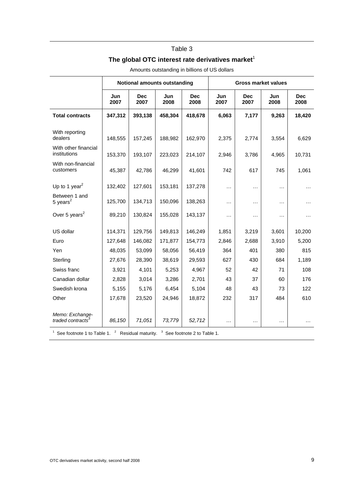#### Table 3

# The global OTC interest rate derivatives market<sup>1</sup>

|                                                                  |             | <b>Notional amounts outstanding</b> |             |                                |             | <b>Gross market values</b> |             |                    |
|------------------------------------------------------------------|-------------|-------------------------------------|-------------|--------------------------------|-------------|----------------------------|-------------|--------------------|
|                                                                  | Jun<br>2007 | <b>Dec</b><br>2007                  | Jun<br>2008 | <b>Dec</b><br>2008             | Jun<br>2007 | <b>Dec</b><br>2007         | Jun<br>2008 | <b>Dec</b><br>2008 |
| <b>Total contracts</b>                                           | 347,312     | 393,138                             | 458,304     | 418,678                        | 6,063       | 7,177                      | 9,263       | 18,420             |
| With reporting<br>dealers                                        | 148,555     | 157,245                             | 188,982     | 162,970                        | 2,375       | 2,774                      | 3,554       | 6,629              |
| With other financial<br>institutions                             | 153,370     | 193,107                             | 223,023     | 214,107                        | 2,946       | 3,786                      | 4,965       | 10,731             |
| With non-financial<br>customers                                  | 45,387      | 42,786                              | 46,299      | 41,601                         | 742         | 617                        | 745         | 1,061              |
| Up to 1 year <sup>2</sup>                                        | 132,402     | 127,601                             | 153,181     | 137,278                        | $\cdots$    | $\cdots$                   | $\cdots$    | $\cdots$           |
| Between 1 and<br>5 years $^2$                                    | 125,700     | 134,713                             | 150,096     | 138,263                        | $\cdots$    | $\ldots$                   | $\cdots$    | $\cdots$           |
| Over 5 years <sup>2</sup>                                        | 89,210      | 130,824                             | 155,028     | 143,137                        | $\cdots$    | $\cdots$                   | $\cdots$    | $\cdots$           |
| US dollar                                                        | 114,371     | 129,756                             | 149,813     | 146,249                        | 1,851       | 3,219                      | 3,601       | 10,200             |
| Euro                                                             | 127,648     | 146,082                             | 171,877     | 154,773                        | 2,846       | 2,688                      | 3,910       | 5,200              |
| Yen                                                              | 48,035      | 53,099                              | 58,056      | 56,419                         | 364         | 401                        | 380         | 815                |
| Sterling                                                         | 27,676      | 28,390                              | 38,619      | 29,593                         | 627         | 430                        | 684         | 1,189              |
| Swiss franc                                                      | 3,921       | 4,101                               | 5,253       | 4,967                          | 52          | 42                         | 71          | 108                |
| Canadian dollar                                                  | 2,828       | 3,014                               | 3,286       | 2,701                          | 43          | 37                         | 60          | 176                |
| Swedish krona                                                    | 5,155       | 5,176                               | 6,454       | 5,104                          | 48          | 43                         | 73          | 122                |
| Other                                                            | 17,678      | 23,520                              | 24,946      | 18,872                         | 232         | 317                        | 484         | 610                |
| Memo: Exchange-<br>traded contracts <sup>3</sup>                 | 86,150      | 71,051                              | 73,779      | 52,712                         | .           | .                          | .           | $\cdots$           |
| <sup>1</sup> See footnote 1 to Table 1. $2^2$ Residual maturity. |             |                                     |             | $3$ See footnote 2 to Table 1. |             |                            |             |                    |

Amounts outstanding in billions of US dollars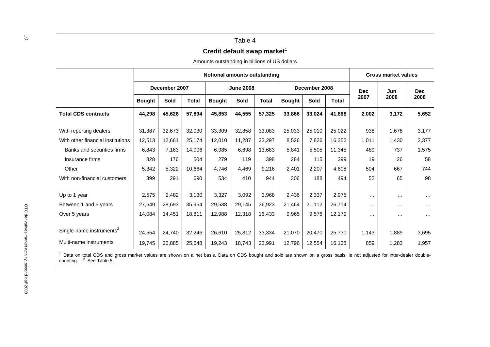|                                      |               |               |              | <b>Notional amounts outstanding</b> |                  |              |               |               |              |            | <b>Gross market values</b> |            |
|--------------------------------------|---------------|---------------|--------------|-------------------------------------|------------------|--------------|---------------|---------------|--------------|------------|----------------------------|------------|
|                                      |               | December 2007 |              |                                     | <b>June 2008</b> |              |               | December 2008 |              | <b>Dec</b> | <b>Jun</b>                 | <b>Dec</b> |
|                                      | <b>Bought</b> | Sold          | <b>Total</b> | <b>Bought</b>                       | Sold             | <b>Total</b> | <b>Bought</b> | Sold          | <b>Total</b> | 2007       | 2008                       | 2008       |
| <b>Total CDS contracts</b>           | 44,298        | 45,626        | 57,894       | 45,853                              | 44,555           | 57,325       | 33,866        | 33,024        | 41,868       | 2,002      | 3,172                      | 5,652      |
| With reporting dealers               | 31,387        | 32,673        | 32,030       | 33,309                              | 32,858           | 33,083       | 25,033        | 25,010        | 25,022       | 938        | 1,678                      | 3,177      |
| With other financial institutions    | 12,513        | 12,661        | 25,174       | 12,010                              | 11,287           | 23,297       | 8,526         | 7,826         | 16,352       | 1,011      | 1,430                      | 2,377      |
| Banks and securities firms           | 6,843         | 7,163         | 14,006       | 6,985                               | 6,698            | 13,683       | 5,841         | 5,505         | 11,345       | 489        | 737                        | 1,575      |
| Insurance firms                      | 328           | 176           | 504          | 279                                 | 119              | 398          | 284           | 115           | 399          | 19         | 26                         |            |
| Other                                | 5,342         | 5,322         | 10,664       | 4,746                               | 4,469            | 9,216        | 2,401         | 2,207         | 4,608        | 504        | 667                        |            |
| With non-financial customers         | 399           | 291           | 690          | 534                                 | 410              | 944          | 306           | 188           | 494          | 52         | 65                         |            |
| Up to 1 year                         | 2,575         | 2,482         | 3,130        | 3,327                               | 3,092            | 3,968        | 2,436         | 2,337         | 2,975        | $\cdots$   | $\ldots$                   |            |
| Between 1 and 5 years                | 27,640        | 28,693        | 35,954       | 29,538                              | 29,145           | 36,923       | 21,464        | 21,112        | 26,714       | $\cdots$   | $\ldots$                   |            |
| Over 5 years                         | 14,084        | 14,451        | 18,811       | 12,988                              | 12,318           | 16,433       | 9,965         | 9,576         | 12,179       | $\cdots$   | $\ldots$                   |            |
| Single-name instruments <sup>2</sup> | 24,554        | 24,740        | 32,246       | 26,610                              | 25,812           | 33,334       | 21,070        | 20,470        | 25,730       | 1,143      | 1,889                      | 3,695      |
| Multi-name instruments               | 19,745        | 20,885        | 25,648       | 19,243                              | 18,743           | 23,991       | 12,796        | 12,554        | 16,138       | 859        | 1,283                      | 1,957      |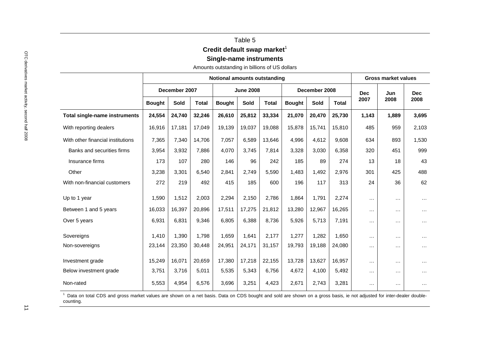#### Table 5

## **Credit default swap market<sup>1</sup>**

# **Single-name instruments**

Amounts outstanding in billions of US dollars

|                                      |               |               |              | <b>Notional amounts outstanding</b> |                  |              |               |               |              |            | <b>Gross market values</b> |            |
|--------------------------------------|---------------|---------------|--------------|-------------------------------------|------------------|--------------|---------------|---------------|--------------|------------|----------------------------|------------|
|                                      |               | December 2007 |              |                                     | <b>June 2008</b> |              |               | December 2008 |              | <b>Dec</b> | <b>Jun</b>                 | <b>Dec</b> |
|                                      | <b>Bought</b> | Sold          | <b>Total</b> | <b>Bought</b>                       | Sold             | <b>Total</b> | <b>Bought</b> | Sold          | <b>Total</b> | 2007       | 2008                       | 2008       |
| <b>Total single-name instruments</b> | 24,554        | 24,740        | 32,246       | 26,610                              | 25,812           | 33,334       | 21,070        | 20,470        | 25,730       | 1,143      | 1,889                      | 3,695      |
| With reporting dealers               | 16,916        | 17,181        | 17,049       | 19,139                              | 19,037           | 19,088       | 15,878        | 15,741        | 15,810       | 485        | 959                        | 2,103      |
| With other financial institutions    | 7,365         | 7,340         | 14,706       | 7,057                               | 6,589            | 13,646       | 4,996         | 4,612         | 9,608        | 634        | 893                        | 1,530      |
| Banks and securities firms           | 3,954         | 3,932         | 7.886        | 4.070                               | 3,745            | 7,814        | 3,328         | 3,030         | 6,358        | 320        | 451                        | 999        |
| Insurance firms                      | 173           | 107           | 280          | 146                                 | 96               | 242          | 185           | 89            | 274          | 13         | 18                         | 43         |
| Other                                | 3,238         | 3,301         | 6,540        | 2.841                               | 2,749            | 5,590        | 1,483         | 1,492         | 2,976        | 301        | 425                        | 488        |
| With non-financial customers         | 272           | 219           | 492          | 415                                 | 185              | 600          | 196           | 117           | 313          | 24         | 36                         | 62         |
| Up to 1 year                         | 1,590         | 1,512         | 2,003        | 2,294                               | 2,150            | 2,786        | 1,864         | 1,791         | 2,274        | $\cdots$   | $\cdots$                   | $\cdots$   |
| Between 1 and 5 years                | 16,033        | 16,397        | 20,896       | 17,511                              | 17,275           | 21,812       | 13,280        | 12,967        | 16,265       | $\cdots$   | $\cdots$                   | $\cdots$   |
| Over 5 years                         | 6,931         | 6,831         | 9,346        | 6,805                               | 6,388            | 8,736        | 5,926         | 5,713         | 7,191        | $\cdots$   | $\cdots$                   | $\cdots$   |
| Sovereigns                           | 1,410         | 1,390         | 1,798        | 1,659                               | 1,641            | 2,177        | 1,277         | 1,282         | 1,650        | $\cdots$   | $\cdots$                   | $\cdots$   |
| Non-sovereigns                       | 23,144        | 23,350        | 30,448       | 24,951                              | 24,171           | 31,157       | 19,793        | 19,188        | 24,080       | $\cdots$   | .                          | $\cdots$   |
| Investment grade                     | 15,249        | 16,071        | 20,659       | 17,380                              | 17,218           | 22,155       | 13,728        | 13,627        | 16,957       | $\cdots$   | $\cdots$                   | $\cdots$   |
| Below investment grade               | 3,751         | 3,716         | 5,011        | 5,535                               | 5,343            | 6,756        | 4,672         | 4,100         | 5,492        | .          | $\cdots$                   | $\cdots$   |
| Non-rated                            | 5,553         | 4,954         | 6,576        | 3,696                               | 3,251            | 4,423        | 2,671         | 2,743         | 3,281        | $\cdots$   | $\cdots$                   | $\cdots$   |

 $^1$  Data on total CDS and gross market values are shown on a net basis. Data on CDS bought and sold are shown on a gross basis, ie not adjusted for inter-dealer doublecounting.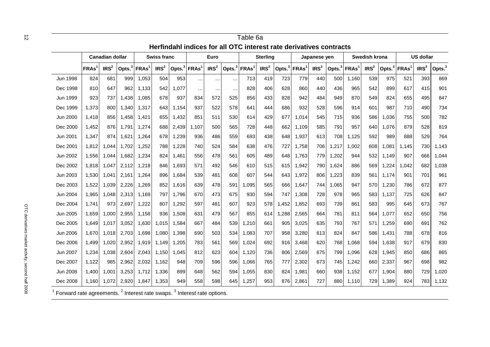|                 |             | <b>Canadian dollar</b> |           |                       | <b>Swiss franc</b> |                    |                       | Euro             |                    |       | <b>Sterling</b>  |                    |         | Japanese yen     |                    |                       | Swedish krona    |                    |                   | <b>US dollar</b> |
|-----------------|-------------|------------------------|-----------|-----------------------|--------------------|--------------------|-----------------------|------------------|--------------------|-------|------------------|--------------------|---------|------------------|--------------------|-----------------------|------------------|--------------------|-------------------|------------------|
|                 | <b>FRAs</b> | IRS <sup>2</sup>       | Opts. $3$ | $ $ FRAs <sup>1</sup> | IRS <sup>2</sup>   | Opts. <sup>3</sup> | $ $ FRAs <sup>1</sup> | IRS <sup>2</sup> | Opts. <sup>3</sup> | FRAST | IRS <sup>2</sup> | Opts. <sup>3</sup> | $RAS^1$ | IRS <sup>2</sup> | Opts. <sup>3</sup> | $ $ FRAs <sup>1</sup> | IRS <sup>2</sup> | Opts. <sup>3</sup> | FRAs <sup>1</sup> | IRS <sup>2</sup> |
| Jun 1998        | 824         | 681                    | 999       | 1,053                 | 504                | 953                | $\cdots$              | $\ddotsc$        | $\ddotsc$          | 713   | 419              | 723                | 779     | 440              | 500                | 1.160                 | 539              | 975                | 521               | 393              |
| Dec 1998        | 810         | 647                    | 962       | 1,133                 | 542                | 1,077              | $\ddotsc$             | $\ddotsc$        | $\ldots$           | 828   | 406              | 628                | 860     | 440              | 436                | 965                   | 542              | 899                | 617               | 415              |
| <b>Jun 1999</b> | 923         | 737                    | 1,438     | 1.085                 | 678                | 937                | 834                   | 572              | 525                | 856   | 433              | 828                | 942     | 484              | 949                | 870                   | 549              | 824                | 655               | 495              |
| Dec 1999        | 1,373       | 800                    | 1,340     | 1,317                 | 643                | 1,154              | 937                   | 522              | 578                | 641   | 444              | 686                | 932     | 528              | 596                | 914                   | 601              | 987                | 710               | 490              |
| Jun 2000        | 1,418       | 856                    | 1,458     | 1,421                 | 655                | 1,432              | 851                   | 511              | 530                | 614   | 429              | 677                | 1,014   | 545              | 715                | 936                   | 586              | 1,036              | 755               | 500              |
| Dec 2000        | 1,452       | 876                    | 1,791     | 1,274                 | 688                | 2,439              | 1.107                 | 500              | 565                | 728   | 448              | 662                | 1.109   | 585              | 791                | 957                   | 640              | 1,076              | 879               | 528              |
| <b>Jun 2001</b> | 1,347       | 874                    | 1,621     | 1,264                 | 678                | 1,239              | 936                   | 486              | 559                | 693   | 438              | 648                | 1,937   | 613              | 708                | 1,125                 | 592              | 989                | 888               | 529              |
| Dec 2001        | 1,812       | 1,044                  | 1,702     | 1,252                 | 788                | 1,228              | 740                   | 524              | 584                | 638   | 476              | 727                | 1,758   | 706              | 1,217              | 1,002                 | 608              | 1,081              | 1,145             | 730              |
| Jun 2002        | 1,556       | 1,044                  | 1,682     | 1,234                 | 824                | 1,461              | 556                   | 478              | 561                | 605   | 489              | 648                | 1,763   | 779              | 1,202              | 944                   | 532              | 1,149              | 907               | 666              |
| Dec 2002        | 1,818       | 1,047                  | 2,112     | 1,218                 | 846                | 1,693              | 571                   | 492              | 546                | 610   | 515              | 615                | 1,942   | 790              | 1,624              | 886                   | 569              | 1,224              | 1,042             | 682              |
| Jun 2003        | 1,530       | 1,041                  | 2,161     | 1,264                 | 896                | 1,684              | 539                   | 481              | 608                | 607   | 544              | 643                | 1,972   | 806              | 1,223              | 839                   | 561              | 1,174              | 901               | 701              |
| Dec 2003        | 1,522       | 1,039                  | 2,226     | 1,269                 | 852                | 1,616              | 639                   | 478              | 591                | 1,095 | 565              | 666                | 1,647   | 744              | 1,065              | 947                   | 570              | 1,230              | 786               | 672              |
| Jun 2004        | 1,965       | 1,048                  | 2,313     | 1,169                 | 797                | 1,796              | 670                   | 473              | 675                | 930   | 594              | 747                | 1,308   | 728              | 978                | 965                   | 583              | 1,137              | 725               | 626              |
| Dec 2004        | 1,741       | 973                    | 2,697     | 1,222                 | 807                | 1,292              | 597                   | 481              | 607                | 923   | 578              | 1,452              | 1,852   | 693              | 739                | 861                   | 583              | 995                | 645               | 673              |
| Jun 2005        | 1,659       | 1,000                  | 2,955     | 1,158                 | 936                | 1,508              | 631                   | 479              | 567                | 855   | 614              | 1,288              | 2,565   | 664              | 781                | 811                   | 564              | 1,077              | 652               | 650              |
| Dec 2005        | 1,649       | 1,017                  | 3,052     | 1,630                 | 1,015              | 1,584              | 667                   | 484              | 539                | 1,210 | 661              | 905                | 3,025   | 635              | 793                | 767                   | 571              | 1,259              | 690               | 691              |
| <b>Jun 2006</b> | 1,670       | 1,018                  | 2,703     | 1,698                 | 1,080              | 1,398              | 690                   | 503              | 534                | 1,083 | 707              | 958                | 3,280   | 613              | 824                | 847                   | 586              | 1,431              | 788               | 678              |
| Dec 2006        | 1,499       | 1,020                  | 2,952     | 1,919                 | 1,149              | 1,205              | 783                   | 561              | 569                | 1,024 | 692              | 916                | 3,468   | 620              | 768                | 1,068                 | 594              | 1,638              | 917               | 679              |
| Jun 2007        | 1,234       | 1,038                  | 2,604     | 2,043                 | 1,150              | 1,045              | 812                   | 623              | 604                | 1,120 | 736              | 806                | 2,569   | 675              | 799                | 1,096                 | 628              | 1,945              | 850               | 686              |
| Dec 2007        | 1,122       | 985                    | 2,962     | 2,032                 | 1,162              | 948                | 709                   | 596              | 596                | 1,066 | 765              | 777                | 2,302   | 673              | 745                | 1,242                 | 660              | 2,337              | 967               | 698              |
| Jun 2008        | 1,400       | 1,001                  | 3,253     | 1,712                 | 1,336              | 899                | 648                   | 562              | 594                | 1,055 | 830              | 824                | 1,981   | 660              | 938                | 1,152                 | 677              | 1,904              | 880               | 729              |
| Dec 2008        | 1,160       | 1,072                  | 2,920     | 1,847                 | 1,353              | 949                | 558                   | 598              | 645                | 1,257 | 953              | 876                | 2,861   | 727              | 880                | 1,110                 | 729              | 1,389              | 924               | 783              |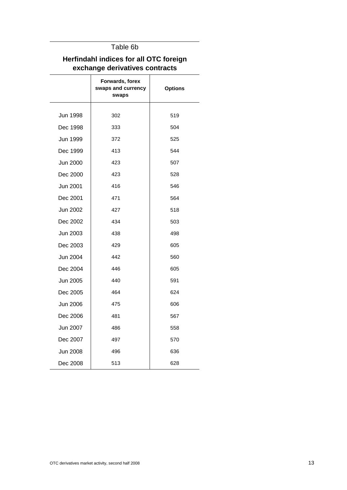## Table 6b

# **Herfindahl indices for all OTC foreign exchange derivatives contracts**

|                 | Forwards, forex<br>swaps and currency<br>swaps | <b>Options</b> |
|-----------------|------------------------------------------------|----------------|
| <b>Jun 1998</b> | 302                                            | 519            |
| Dec 1998        | 333                                            | 504            |
| Jun 1999        | 372                                            | 525            |
| Dec 1999        | 413                                            | 544            |
| Jun 2000        | 423                                            | 507            |
| Dec 2000        | 423                                            | 528            |
| Jun 2001        | 416                                            | 546            |
| Dec 2001        | 471                                            | 564            |
| Jun 2002        | 427                                            | 518            |
| Dec 2002        | 434                                            | 503            |
| Jun 2003        | 438                                            | 498            |
| Dec 2003        | 429                                            | 605            |
| Jun 2004        | 442                                            | 560            |
| Dec 2004        | 446                                            | 605            |
| Jun 2005        | 440                                            | 591            |
| Dec 2005        | 464                                            | 624            |
| Jun 2006        | 475                                            | 606            |
| Dec 2006        | 481                                            | 567            |
| Jun 2007        | 486                                            | 558            |
| Dec 2007        | 497                                            | 570            |
| <b>Jun 2008</b> | 496                                            | 636            |
| Dec 2008        | 513                                            | 628            |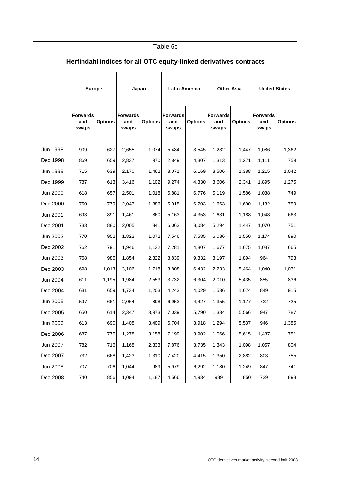#### Table 6c

# **Herfindahl indices for all OTC equity-linked derivatives contracts**

|          | <b>Europe</b>                   |                | Japan                           |                | <b>Latin America</b>            |                | <b>Other Asia</b>               |                | <b>United States</b>            |                |
|----------|---------------------------------|----------------|---------------------------------|----------------|---------------------------------|----------------|---------------------------------|----------------|---------------------------------|----------------|
|          | <b>Forwards</b><br>and<br>swaps | <b>Options</b> | <b>Forwards</b><br>and<br>swaps | <b>Options</b> | <b>Forwards</b><br>and<br>swaps | <b>Options</b> | <b>Forwards</b><br>and<br>swaps | <b>Options</b> | <b>Forwards</b><br>and<br>swaps | <b>Options</b> |
| Jun 1998 | 909                             | 627            | 2,655                           | 1,074          | 5,484                           | 3,545          | 1,232                           | 1,447          | 1,086                           | 1,362          |
| Dec 1998 | 869                             | 659            | 2,837                           | 970            | 2,849                           | 4,307          | 1,313                           | 1,271          | 1,111                           | 759            |
| Jun 1999 | 715                             | 639            | 2,170                           | 1,462          | 3,071                           | 6,169          | 3,506                           | 1,388          | 1,215                           | 1,042          |
| Dec 1999 | 787                             | 613            | 3,416                           | 1,102          | 9,274                           | 4,330          | 3,606                           | 2,341          | 1,895                           | 1,275          |
| Jun 2000 | 618                             | 657            | 2,501                           | 1,018          | 6,881                           | 6,776          | 5,119                           | 1,586          | 1,088                           | 749            |
| Dec 2000 | 750                             | 779            | 2,043                           | 1,386          | 5,015                           | 6,703          | 1,663                           | 1,600          | 1,132                           | 759            |
| Jun 2001 | 693                             | 891            | 1,461                           | 860            | 5,163                           | 4,353          | 1,631                           | 1,188          | 1,048                           | 663            |
| Dec 2001 | 733                             | 880            | 2,005                           | 841            | 6,063                           | 8,084          | 5,294                           | 1,447          | 1,070                           | 751            |
| Jun 2002 | 770                             | 952            | 1,822                           | 1,072          | 7,546                           | 7,585          | 6,086                           | 1,550          | 1,174                           | 890            |
| Dec 2002 | 762                             | 791            | 1,946                           | 1,132          | 7,281                           | 4,807          | 1,677                           | 1,675          | 1,037                           | 665            |
| Jun 2003 | 768                             | 985            | 1,854                           | 2,322          | 8,839                           | 9,332          | 3,197                           | 1,894          | 964                             | 793            |
| Dec 2003 | 698                             | 1,013          | 3,106                           | 1,718          | 3,808                           | 6,432          | 2,233                           | 5,464          | 1,040                           | 1,031          |
| Jun 2004 | 611                             | 1,195          | 1,984                           | 2,553          | 3,732                           | 6,304          | 2,010                           | 5,435          | 855                             | 836            |
| Dec 2004 | 631                             | 659            | 1,734                           | 1,203          | 4,243                           | 4,029          | 1,536                           | 1,674          | 849                             | 915            |
| Jun 2005 | 597                             | 661            | 2,064                           | 898            | 6,953                           | 4,427          | 1,355                           | 1,177          | 722                             | 725            |
| Dec 2005 | 650                             | 614            | 2,347                           | 3,973          | 7,039                           | 5,790          | 1,334                           | 5,566          | 947                             | 787            |
| Jun 2006 | 613                             | 690            | 1,408                           | 3,409          | 6,704                           | 3,918          | 1,294                           | 5,537          | 946                             | 1,385          |
| Dec 2006 | 687                             | 775            | 1,278                           | 3,158          | 7,199                           | 3,902          | 1,066                           | 5,615          | 1,487                           | 751            |
| Jun 2007 | 782                             | 716            | 1,168                           | 2,333          | 7,876                           | 3,735          | 1,343                           | 1,098          | 1,057                           | 804            |
| Dec 2007 | 732                             | 668            | 1,423                           | 1,310          | 7,420                           | 4,415          | 1,350                           | 2,882          | 803                             | 755            |
| Jun 2008 | 707                             | 706            | 1,044                           | 989            | 5,979                           | 6,292          | 1,180                           | 1,249          | 847                             | 741            |
| Dec 2008 | 740                             | 856            | 1,094                           | 1,187          | 4,566                           | 4,934          | 989                             | 850            | 729                             | 898            |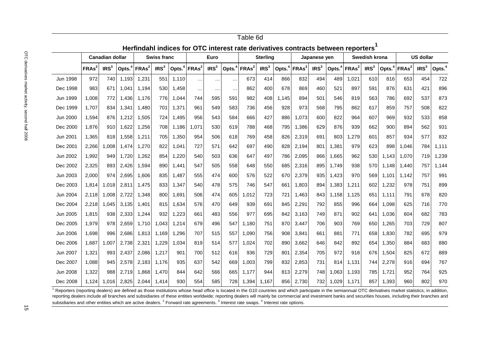|          | С   |
|----------|-----|
|          | FRA |
| Jun 1998 | 9   |
| Dec 1998 | 9   |
| Jun 1999 | 1,0 |
| Dec 1999 | 1,7 |
| Jun 2000 | 1,5 |
| Dec 2000 | 1,8 |
| Jun 2001 | 1,3 |
| Dec 2001 | 2,2 |
|          |     |

|          |                   | <b>Canadian dollar</b> |                    |         | <b>Swiss franc</b> |       |                             | Euro             |                    |            | <b>Sterling</b>  |       |                             | Japanese yen     |       |                             | Swedish krona    |       |                             | <b>US dollar</b> |                    |
|----------|-------------------|------------------------|--------------------|---------|--------------------|-------|-----------------------------|------------------|--------------------|------------|------------------|-------|-----------------------------|------------------|-------|-----------------------------|------------------|-------|-----------------------------|------------------|--------------------|
|          | FRAs <sup>2</sup> | IRS <sup>3</sup>       | Opts. <sup>4</sup> | $RAS^2$ | IRS <sup>3</sup>   |       | Opts. $4$ FRAs <sup>2</sup> | IRS <sup>3</sup> | Opts. <sup>4</sup> | $ FRAs^2 $ | IRS <sup>3</sup> |       | Opts. $4$ FRAs <sup>2</sup> | IRS <sup>3</sup> |       | Opts. $4$ FRAs <sup>2</sup> | IRS <sup>3</sup> |       | Opts. $4$ FRAs <sup>2</sup> | IRS <sup>3</sup> | Opts. <sup>4</sup> |
| Jun 1998 | 972               | 740                    | 1,193              | 1,231   | 551                | 1,110 | $\cdots$                    | $\cdots$         | $\ddotsc$          | 673        | 414              | 866   | 832                         | 494              | 489   | 1,021                       | 610              | 816   | 653                         | 454              |                    |
| Dec 1998 | 983               | 671                    | 1,041              | 1,194   | 530                | 1,458 | $\ldots$                    | $\cdots$         | $\cdots$           | 862        | 400              | 678   | 869                         | 460              | 521   | 897                         | 591              | 876   | 631                         | 421              |                    |
| Jun 1999 | 1,008             | 772                    | 1,436              | 1,176   | 776                | 1,044 | 744                         | 595              | 591                | 982        | 408              | 1,145 | 894                         | 501              | 546   | 819                         | 563              | 786   | 692                         | 537              |                    |
| Dec 1999 | 1,707             | 834                    | 1,341              | 1,480   | 701                | 1,371 | 961                         | 549              | 583                | 736        | 456              | 928   | 973                         | 568              | 795   | 862                         | 617              | 859   | 757                         | 508              |                    |
| Jun 2000 | 1,594             | 876                    | 1,212              | 1,505   | 724                | 1,495 | 956                         | 543              | 584                | 666        | 427              | 886   | 1,073                       | 600              | 822   | 964                         | 607              | 969   | 932                         | 533              |                    |
| Dec 2000 | 1,876             | 910                    | 1,622              | 1,256   | 708                | 1,186 | 1.071                       | 530              | 619                | 788        | 468              | 795   | 1,386                       | 629              | 876   | 939                         | 662              | 900   | 894                         | 562              |                    |
| Jun 2001 | 1,365             | 818                    | 1,558              | 1,211   | 705                | 1,350 | 954                         | 506              | 618                | 769        | 458              | 826   | 2,319                       | 691              | 803   | 1,279                       | 601              | 857   | 934                         | 577              |                    |
| Dec 2001 | 2,266             | 1,008                  | 1,474              | 1,270   | 822                | 1,041 | 727                         | 571              | 642                | 697        | 490              | 828   | 2,194                       | 801              | 1,381 | 979                         | 623              | 898   | 1,046                       | 784              |                    |
| Jun 2002 | 1,992             | 949                    | 1,720              | 1,262   | 854                | 1,220 | 540                         | 503              | 636                | 647        | 497              | 786   | 2,095                       | 866              | 1,665 | 962                         | 530              | 1,143 | 1,070                       | 719              |                    |
| Dec 2002 | 2,325             | 893                    | 2,426              | 1,594   | 890                | 1,441 | 547                         | 505              | 558                | 648        | 550              | 685   | 2,316                       | 895              | 1.749 | 938                         | 570              | 1,148 | 1.440                       | 757              |                    |
| Jun 2003 | 2,000             | 974                    | 2,695              | 1,606   | 835                | 1,487 | 555                         | 474              | 600                | 576        | 522              | 670   | 2,379                       | 935              | 1,423 | 970                         | 569              | 1,101 | 1,142                       | 757              |                    |
| Dec 2003 | 1,814             | 1,018                  | 2,811              | 1,475   | 833                | 1,347 | 540                         | 478              | 575                | 746        | 547              | 661   | 1,803                       | 894              | 1,383 | 1,211                       | 602              | 1,232 | 978                         | 751              |                    |
| Jun 2004 | 2,118             | 1,008                  | 2,722              | 1,348   | 800                | 1,691 | 506                         | 474              | 605                | 1,012      | 723              | 721   | 1,463                       | 843              | 1,158 | 1,125                       | 651              | 1,111 | 791                         | 678              |                    |
| Dec 2004 | 2,218             | 1,045                  | 3,135              | 1,401   | 815                | 1,634 | 576                         | 470              | 649                | 939        | 691              | 845   | 2,291                       | 792              | 855   | 996                         | 664              | 1,098 | 625                         | 716              |                    |
| Jun 2005 | 1,815             | 938                    | 2,333              | 1,244   | 932                | 1,223 | 661                         | 483              | 556                | 977        | 695              | 842   | 3,163                       | 749              | 871   | 902                         | 641              | 1,036 | 604                         | 682              |                    |
| Dec 2005 | 1,979             | 978                    | 2,659              | 1,710   | 1,043              | 1,214 | 679                         | 496              | 547                | 1,180      | 751              | 870   | 3,447                       | 706              | 903   | 769                         | 650              | 1,265 | 703                         | 729              |                    |
| Jun 2006 | 1,698             | 996                    | 2,686              | 1,813   | 1,169              | 1,296 | 707                         | 515              | 557                | 1,090      | 756              | 908   | 3,841                       | 661              | 881   | 771                         | 658              | 1,830 | 782                         | 695              |                    |
| Dec 2006 | 1,687             | 1,007                  | 2,738              | 2,321   | 1,229              | 1,034 | 819                         | 514              | 577                | 1,024      | 702              | 890   | 3,662                       | 646              | 842   | 892                         | 654              | 1,350 | 884                         | 683              |                    |
| Jun 2007 | 1,321             | 993                    | 2,437              | 2,086   | 1,217              | 901   | 700                         | 512              | 616                | 936        | 729              | 801   | 2,354                       | 705              | 972   | 918                         | 676              | 1,504 | 825                         | 672              |                    |
| Dec 2007 | 1,088             | 945                    | 2,578              | 2,183   | 1,176              | 935   | 637                         | 542              | 669                | 1,003      | 799              | 832   | 2,853                       | 731              | 814   | 1,131                       | 744              | 2,278 | 916                         | 694              |                    |
| Jun 2008 | 1,322             | 988                    | 2,719              | 1,868   | 1,470              | 844   | 642                         | 566              | 665                | 1,177      | 944              | 813   | 2,279                       | 748              | 1,063 | 1,193                       | 785              | 1,721 | 952                         | 764              |                    |
| Dec 2008 | 1,124             | 1,016                  | 2,825              | 2,044   | 1,414              | 930   | 554                         | 585              | 728                | 1,394      | 1,167            | 856   | 2,730                       | 732              | 1,029 | 1,171                       | 857              | 1,393 | 960                         | 802              |                    |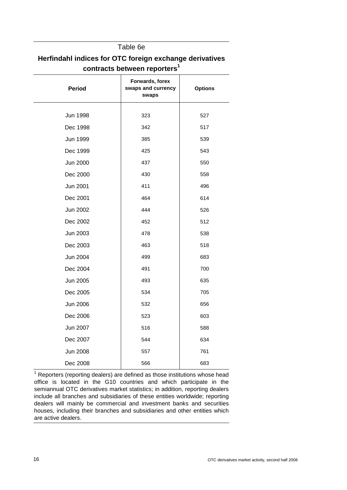| Herfindahl indices for OTC foreign exchange derivatives |                                                |                |  |  |  |  |  |  |  |  |  |
|---------------------------------------------------------|------------------------------------------------|----------------|--|--|--|--|--|--|--|--|--|
|                                                         | contracts between reporters <sup>1</sup>       |                |  |  |  |  |  |  |  |  |  |
| <b>Period</b>                                           | Forwards, forex<br>swaps and currency<br>swaps | <b>Options</b> |  |  |  |  |  |  |  |  |  |
| Jun 1998                                                | 323                                            | 527            |  |  |  |  |  |  |  |  |  |
| Dec 1998                                                | 342                                            | 517            |  |  |  |  |  |  |  |  |  |
| Jun 1999                                                | 385                                            | 539            |  |  |  |  |  |  |  |  |  |
| Dec 1999                                                | 425                                            | 543            |  |  |  |  |  |  |  |  |  |
| Jun 2000                                                | 437                                            | 550            |  |  |  |  |  |  |  |  |  |
| Dec 2000                                                | 430                                            | 558            |  |  |  |  |  |  |  |  |  |
| Jun 2001                                                | 411                                            | 496            |  |  |  |  |  |  |  |  |  |
| Dec 2001                                                | 464                                            | 614            |  |  |  |  |  |  |  |  |  |
| Jun 2002                                                | 444                                            | 526            |  |  |  |  |  |  |  |  |  |
| Dec 2002                                                | 452                                            | 512            |  |  |  |  |  |  |  |  |  |
| Jun 2003                                                | 478                                            | 538            |  |  |  |  |  |  |  |  |  |
| Dec 2003                                                | 463                                            | 518            |  |  |  |  |  |  |  |  |  |
| Jun 2004                                                | 499                                            | 683            |  |  |  |  |  |  |  |  |  |
| Dec 2004                                                | 491                                            | 700            |  |  |  |  |  |  |  |  |  |
| Jun 2005                                                | 493                                            | 635            |  |  |  |  |  |  |  |  |  |
| Dec 2005                                                | 534                                            | 705            |  |  |  |  |  |  |  |  |  |
| Jun 2006                                                | 532                                            | 656            |  |  |  |  |  |  |  |  |  |
| Dec 2006                                                | 523                                            | 603            |  |  |  |  |  |  |  |  |  |
| Jun 2007                                                | 516                                            | 588            |  |  |  |  |  |  |  |  |  |
| Dec 2007                                                | 544                                            | 634            |  |  |  |  |  |  |  |  |  |
| Jun 2008                                                | 557                                            | 761            |  |  |  |  |  |  |  |  |  |
| Dec 2008                                                | 566                                            | 683            |  |  |  |  |  |  |  |  |  |

Table 6e

1 Reporters (reporting dealers) are defined as those institutions whose head office is located in the G10 countries and which participate in the semiannual OTC derivatives market statistics; in addition, reporting dealers include all branches and subsidiaries of these entities worldwide; reporting dealers will mainly be commercial and investment banks and securities houses, including their branches and subsidiaries and other entities which are active dealers.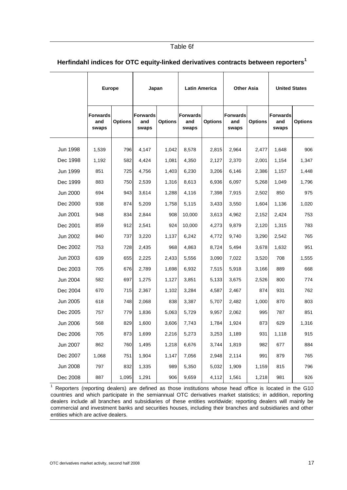#### Table 6f

|                 | <b>Europe</b>                   |                | Japan                           |                | <b>Latin America</b>            |                | <b>Other Asia</b>               |                | <b>United States</b>            |                |  |
|-----------------|---------------------------------|----------------|---------------------------------|----------------|---------------------------------|----------------|---------------------------------|----------------|---------------------------------|----------------|--|
|                 | <b>Forwards</b><br>and<br>swaps | <b>Options</b> | <b>Forwards</b><br>and<br>swaps | <b>Options</b> | <b>Forwards</b><br>and<br>swaps | <b>Options</b> | <b>Forwards</b><br>and<br>swaps | <b>Options</b> | <b>Forwards</b><br>and<br>swaps | <b>Options</b> |  |
| Jun 1998        | 1,539                           | 796            | 4,147                           | 1,042          | 8,578                           | 2,815          | 2,964                           | 2,477          | 1,648                           | 906            |  |
| Dec 1998        | 1,192                           | 582            | 4,424                           | 1,081          | 4,350                           | 2,127          | 2,370                           | 2,001          | 1,154                           | 1,347          |  |
| Jun 1999        | 851                             | 725            | 4,756                           | 1,403          | 6,230                           | 3,206          | 6,146                           | 2,386          | 1,157                           | 1,448          |  |
| Dec 1999        | 883                             | 750            | 2,539                           | 1,316          | 8,613                           | 6,936          | 6,097                           | 5,268          | 1,049                           | 1,796          |  |
| Jun 2000        | 694                             | 943            | 3,614                           | 1,288          | 4,116                           | 7,398          | 7,915                           | 2,502          | 850                             | 975            |  |
| Dec 2000        | 938                             | 874            | 5,209                           | 1,758          | 5,115                           | 3,433          | 3,550                           | 1,604          | 1,136                           | 1,020          |  |
| Jun 2001        | 948                             | 834            | 2,844                           | 908            | 10,000                          | 3,613          | 4,962                           | 2,152          | 2,424                           | 753            |  |
| Dec 2001        | 859                             | 912            | 2,541                           | 924            | 10,000                          | 4,273          | 9,879                           | 2,120          | 1,315                           | 783            |  |
| Jun 2002        | 840                             | 737            | 3,220                           | 1,137          | 6,242                           | 4,772          | 9.740                           | 3,290          | 2,542                           | 765            |  |
| Dec 2002        | 753                             | 728            | 2,435                           | 968            | 4,863                           | 8,724          | 5,494                           | 3,678          | 1,632                           | 951            |  |
| Jun 2003        | 639                             | 655            | 2,225                           | 2,433          | 5,556                           | 3,090          | 7,022                           | 3,520          | 708                             | 1,555          |  |
| Dec 2003        | 705                             | 676            | 2,789                           | 1,698          | 6,932                           | 7,515          | 5,918                           | 3,166          | 889                             | 668            |  |
| Jun 2004        | 582                             | 697            | 1,275                           | 1,127          | 3,851                           | 5,133          | 3,675                           | 2,526          | 800                             | 774            |  |
| Dec 2004        | 670                             | 715            | 2,367                           | 1,102          | 3,284                           | 4,587          | 2,467                           | 874            | 931                             | 762            |  |
| Jun 2005        | 618                             | 748            | 2,068                           | 838            | 3,387                           | 5,707          | 2,482                           | 1,000          | 870                             | 803            |  |
| Dec 2005        | 757                             | 779            | 1,836                           | 5,063          | 5,729                           | 9,957          | 2,062                           | 995            | 787                             | 851            |  |
| Jun 2006        | 568                             | 829            | 1,600                           | 3,606          | 7,743                           | 1,784          | 1,924                           | 873            | 629                             | 1,316          |  |
| Dec 2006        | 705                             | 873            | 1,699                           | 2,216          | 5,273                           | 3,253          | 1,189                           | 931            | 1,118                           | 915            |  |
| Jun 2007        | 862                             | 760            | 1,495                           | 1,218          | 6,676                           | 3,744          | 1,819                           | 982            | 677                             | 884            |  |
| Dec 2007        | 1,068                           | 751            | 1,904                           | 1,147          | 7,056                           | 2,948          | 2,114                           | 991            | 879                             | 765            |  |
| <b>Jun 2008</b> | 797                             | 832            | 1,335                           | 989            | 5,350                           | 5,032          | 1,909                           | 1,159          | 815                             | 796            |  |
| Dec 2008        | 887                             | 1,095          | 1,291                           | 906            | 9,659                           | 4,112          | 1,561                           | 1,218          | 981                             | 926            |  |

# **Herfindahl indices for OTC equity-linked derivatives contracts between reporters<sup>1</sup>**

<sup>1</sup> Reporters (reporting dealers) are defined as those institutions whose head office is located in the G10 countries and which participate in the semiannual OTC derivatives market statistics; in addition, reporting dealers include all branches and subsidiaries of these entities worldwide; reporting dealers will mainly be commercial and investment banks and securities houses, including their branches and subsidiaries and other entities which are active dealers.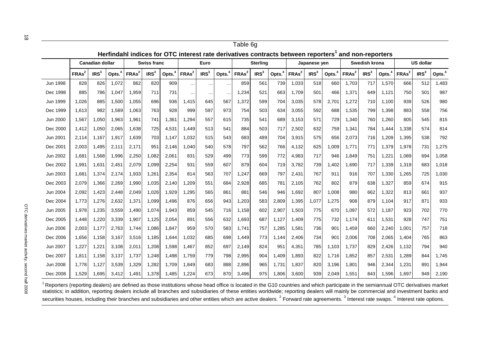|                 |                   | <b>Canadian dollar</b> |                    | <b>Swiss franc</b> |                  |                    | Euro              |                  |                    | Swedish krona<br><b>Sterling</b><br>Japanese yen |                  |                    |                   |                  |           | <b>US dollar</b>  |                  |                    |                   |                  |                    |
|-----------------|-------------------|------------------------|--------------------|--------------------|------------------|--------------------|-------------------|------------------|--------------------|--------------------------------------------------|------------------|--------------------|-------------------|------------------|-----------|-------------------|------------------|--------------------|-------------------|------------------|--------------------|
|                 | FRAs <sup>2</sup> | IRS <sup>3</sup>       | Opts. <sup>4</sup> | FRAs <sup>2</sup>  | IRS <sup>3</sup> | Opts. <sup>4</sup> | FRAs <sup>2</sup> | IRS <sup>3</sup> | Opts. <sup>4</sup> | FRAs <sup>2</sup>                                | IRS <sup>3</sup> | Opts. <sup>4</sup> | FRAs <sup>2</sup> | IRS <sup>3</sup> | Opts. $4$ | FRAs <sup>2</sup> | IRS <sup>3</sup> | Opts. <sup>4</sup> | FRAs <sup>2</sup> | IRS <sup>3</sup> | Opts. <sup>4</sup> |
| Jun 1998        | 828               | 826                    | 1,072              | 862                | 820              | 909                | $\sim$ $\sim$     | $\sim$           | $\cdots$           | 859                                              | 561              | 739                | 1,033             | 518              | 660       | 1,703             | 717              | 1,570              | 666               | 512              | 1,483              |
| Dec 1998        | 885               | 786                    | 1,047              | 1,959              | 711              | 731                | $\sim$            | $\cdots$         | $\cdots$           | 1,234                                            | 521              | 663                | 1,709             | 501              | 466       | 1,371             | 649              | 1,121              | 750               | 501              | 987                |
| <b>Jun 1999</b> | 1,026             | 885                    | 1,500              | 1,055              | 696              | 936                | 1,415             | 645              | 567                | 1,372                                            | 599              | 704                | 3,035             | 578              | 2,701     | 1,272             | 710              | 1,100              | 939               | 526              | 980                |
| Dec 1999        | 1,613             | 982                    | 1,589              | 1,063              | 763              | 928                | 999               | 597              | 973                | 754                                              | 503              | 634                | 3,055             | 592              | 688       | 1,535             | 799              | 1,398              | 883               | 558              | 756                |
| Jun 2000        | 1,567             | 1,050                  | 1,963              | 1,961              | 741              | 1,361              | 1,294             | 557              | 615                | 735                                              | 541              | 689                | 3,153             | 571              | 729       | 1,340             | 760              | 1,260              | 805               | 545              | 815                |
| Dec 2000        | 1,412             | 1,050                  | 2,065              | 1,638              | 725              | 4,531              | 1,449             | 513              | 541                | 884                                              | 503              | 717                | 2,502             | 632              | 759       | 1,341             | 784              | 1,444              | 1,338             | 574              | 814                |
| Jun 2001        | 2,114             | 1,167                  | 1,917              | 1,639              | 703              | 1,147              | 1,032             | 515              | 543                | 683                                              | 489              | 704                | 3,915             | 575              | 656       | 2,073             | 716              | 1,209              | 1,395             | 538              | 792                |
| Dec 2001        | 2,003             | 1,495                  | 2,111              | 2,171              | 951              | 2,146              | 1,040             | 540              | 578                | 797                                              | 562              | 766                | 4,132             | 625              | 1,009     | 1,771             | 771              | 1,379              | 1,978             | 731              | 1,275              |
| Jun 2002        | 1,681             | 1,568                  | 1,996              | 2,250              | 1,082            | 2,061              | 831               | 529              | 499                | 773                                              | 599              | 772                | 4,983             | 717              | 946       | 1,849             | 751              | 1,221              | 1,089             | 694              | 1,058              |
| Dec 2002        | 1,991             | 1,631                  | 2,451              | 2,079              | 1,099            | 2,254              | 931               | 559              | 607                | 879                                              | 604              | 719                | 3,782             | 739              | 1,402     | 1,690             | 717              | 1,339              | 1,319             | 683              | 1,018              |
| Jun 2003        | 1,681             | 1,374                  | 2,174              | 1,933              | 1,261            | 2,354              | 814               | 563              | 707                | 1,247                                            | 669              | 797                | 2,431             | 767              | 911       | 916               | 707              | 1,330              | 1,265             | 725              | 1,030              |
| Dec 2003        | 2,079             | 1,366                  | 2,269              | 1,990              | 1,035            | 2,140              | 1,209             | 551              | 684                | 2,928                                            | 685              | 781                | 2,105             | 762              | 802       | 879               | 638              | 1,327              | 859               | 674              | 915                |
| Jun 2004        | 2,092             | 1,423                  | 2,448              | 2,049              | 1,026            | 1,929              | 1,295             | 565              | 861                | 881                                              | 546              | 946                | 1,692             | 807              | 1,008     | 980               | 662              | 1,322              | 813               | 661              | 937                |
| Dec 2004        | 1,773             | 1,276                  | 2,632              | 1,371              | 1,099            | 1,496              | 876               | 656              | 943                | 1,203                                            | 583              | 2,809              | 1,395             | 1,077            | 1,275     | 908               | 879              | 1,104              | 917               | 871              | 933                |
| Jun 2005        | 1,978             | 1,235                  | 3,559              | 1,490              | 1,074            | 1,943              | 859               | 545              | 716                | 1,158                                            | 602              | 2,907              | 1,503             | 775              | 670       | 1,097             | 572              | 1,187              | 923               | 702              | 770                |
| Dec 2005        | 1,448             | 1,220                  | 3,339              | 1,907              | 1,125            | 2,054              | 891               | 556              | 632                | 1,693                                            | 687              | 1,127              | 1,409             | 775              | 732       | 1,174             | 611              | 1,531              | 928               | 747              | 751                |
| Jun 2006        | 2,003             | 1,177                  | 2,763              | 1,744              | 1,086            | 1,847              | 959               | 570              | 583                | 1,741                                            | 757              | 1,285              | 1,581             | 736              | 901       | 1,459             | 660              | 2,240              | 1,001             | 757              | 718                |
| Dec 2006        | 1,656             | 1,158                  | 3,167              | 3,516              | 1,185            | 1,644              | 1,032             | 685              | 698                | 1,449                                            | 773              | 1,144              | 2,406             | 734              | 901       | 2,006             | 708              | 2,065              | 1,404             | 765              | 863                |
| Jun 2007        | 1,227             | 1,221                  | 3,108              | 2,011              | 1,208            | 1,598              | 1,467             | 852              | 697                | 2,149                                            | 824              | 951                | 4,351             | 785              | 1,103     | 1,737             | 829              | 2,426              | 1,132             | 794              | 940                |
| Dec 2007        | 1,811             | 1,158                  | 3,137              | 1,737              | 1,248            | 1,498              | 1,759             | 779              | 798                | 2,995                                            | 904              | 1,409              | 1,893             | 822              | 1,716     | 1,852             | 857              | 2,531              | 1,289             | 844              | 1,745              |
| Jun 2008        | 1,778             | 1,127                  | 3,539              | 1,329              | 1,282            | 1,709              | 1,849             | 683              | 888                | 2,896                                            | 965              | 1,731              | 1,837             | 820              | 3,196     | 1,801             | 946              | 2,344              | 1,231             | 891              | 1,944              |
| Dec 2008        | 1.529             | 1,695                  | 3,412              | 1,491              | 1,378            | 1.485              | 1,224             | 673              | 870                | 3,496                                            | 975              | 1,806              | 3,600             | 939              | 2.049     | 1,551             | 843              | 1,596              | 1.697             | 949              | 2,190              |

<sup>1</sup> Reporters (reporting dealers) are defined as those institutions whose head office is located in the G10 countries and which participate in the semiannual OTC derivatives market statistics; in addition, reporting deale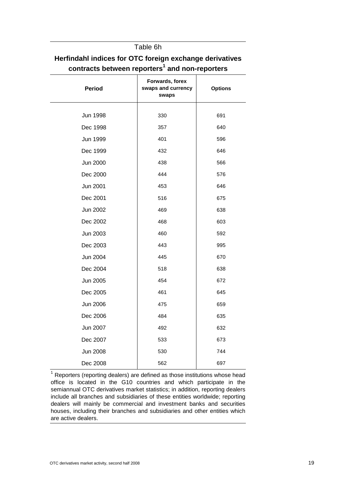Table 6h

| <b>Period</b>   | Forwards, forex<br>swaps and currency<br>swaps | <b>Options</b> |
|-----------------|------------------------------------------------|----------------|
| <b>Jun 1998</b> | 330                                            | 691            |
| Dec 1998        | 357                                            | 640            |
| <b>Jun 1999</b> | 401                                            | 596            |
| Dec 1999        | 432                                            | 646            |
| Jun 2000        | 438                                            | 566            |
| Dec 2000        | 444                                            | 576            |
| Jun 2001        | 453                                            | 646            |
| Dec 2001        | 516                                            | 675            |
| Jun 2002        | 469                                            | 638            |
| Dec 2002        | 468                                            | 603            |
| Jun 2003        | 460                                            | 592            |
| Dec 2003        | 443                                            | 995            |
| Jun 2004        | 445                                            | 670            |
| Dec 2004        | 518                                            | 638            |
| Jun 2005        | 454                                            | 672            |
| Dec 2005        | 461                                            | 645            |
| Jun 2006        | 475                                            | 659            |
| Dec 2006        | 484                                            | 635            |
| Jun 2007        | 492                                            | 632            |
| Dec 2007        | 533                                            | 673            |
| <b>Jun 2008</b> | 530                                            | 744            |
| Dec 2008        | 562                                            | 697            |

# **Herfindahl indices for OTC foreign exchange derivatives contracts between reporters<sup>1</sup> and non-reporters**

 $1$  Reporters (reporting dealers) are defined as those institutions whose head office is located in the G10 countries and which participate in the semiannual OTC derivatives market statistics; in addition, reporting dealers include all branches and subsidiaries of these entities worldwide; reporting dealers will mainly be commercial and investment banks and securities houses, including their branches and subsidiaries and other entities which are active dealers.